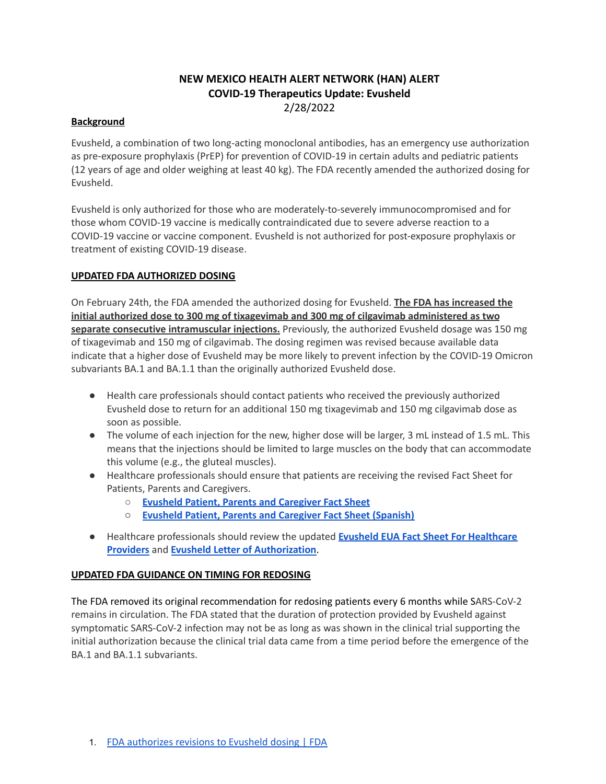# **NEW MEXICO HEALTH ALERT NETWORK (HAN) ALERT COVID-19 Therapeutics Update: Evusheld** 2/28/2022

# **Background**

Evusheld, a combination of two long-acting monoclonal antibodies, has an emergency use authorization as pre-exposure prophylaxis (PrEP) for prevention of COVID-19 in certain adults and pediatric patients (12 years of age and older weighing at least 40 kg). The FDA recently amended the authorized dosing for Evusheld.

Evusheld is only authorized for those who are moderately-to-severely immunocompromised and for those whom COVID-19 vaccine is medically contraindicated due to severe adverse reaction to a COVID-19 vaccine or vaccine component. Evusheld is not authorized for post-exposure prophylaxis or treatment of existing COVID-19 disease.

# **UPDATED FDA AUTHORIZED DOSING**

On February 24th, the FDA amended the authorized dosing for Evusheld. **The FDA has increased the initial authorized dose to 300 mg of tixagevimab and 300 mg of cilgavimab administered as two separate consecutive intramuscular injections.** Previously, the authorized Evusheld dosage was 150 mg of tixagevimab and 150 mg of cilgavimab. The dosing regimen was revised because available data indicate that a higher dose of Evusheld may be more likely to prevent infection by the COVID-19 Omicron subvariants BA.1 and BA.1.1 than the originally authorized Evusheld dose.

- Health care professionals should contact patients who received the previously authorized Evusheld dose to return for an additional 150 mg tixagevimab and 150 mg cilgavimab dose as soon as possible.
- The volume of each injection for the new, higher dose will be larger, 3 mL instead of 1.5 mL. This means that the injections should be limited to large muscles on the body that can accommodate this volume (e.g., the gluteal muscles).
- Healthcare professionals should ensure that patients are receiving the revised Fact Sheet for Patients, Parents and Caregivers.
	- **Evusheld Patient, Parents and [Caregiver](https://www.fda.gov/media/154702/download) Fact Sheet**
	- **Evusheld Patient, Parents and [Caregiver](https://www.fda.gov/media/155196/download) Fact Sheet (Spanish)**
- Healthcare professionals should review the updated **Evusheld EUA Fact Sheet For [Healthcare](https://www.fda.gov/media/154701/download) [Providers](https://www.fda.gov/media/154701/download)** and **Evusheld Letter of [Authorization](https://www.fda.gov/media/154704/download)**.

# **UPDATED FDA GUIDANCE ON TIMING FOR REDOSING**

The FDA removed its original recommendation for redosing patients every 6 months while SARS-CoV-2 remains in circulation. The FDA stated that the duration of protection provided by Evusheld against symptomatic SARS-CoV-2 infection may not be as long as was shown in the clinical trial supporting the initial authorization because the clinical trial data came from a time period before the emergence of the BA.1 and BA.1.1 subvariants.